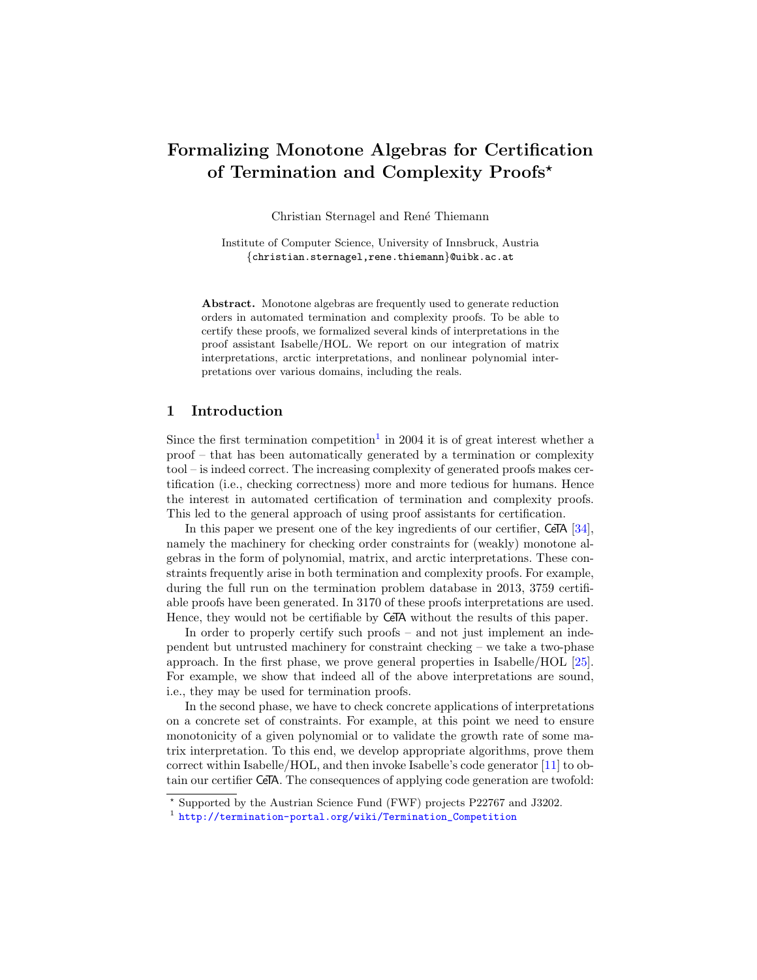# Formalizing Monotone Algebras for Certification of Termination and Complexity Proofs?

Christian Sternagel and Ren´e Thiemann

Institute of Computer Science, University of Innsbruck, Austria {christian.sternagel,rene.thiemann}@uibk.ac.at

Abstract. Monotone algebras are frequently used to generate reduction orders in automated termination and complexity proofs. To be able to certify these proofs, we formalized several kinds of interpretations in the proof assistant Isabelle/HOL. We report on our integration of matrix interpretations, arctic interpretations, and nonlinear polynomial interpretations over various domains, including the reals.

# 1 Introduction

Since the first termination competition<sup>[1](#page-0-0)</sup> in 2004 it is of great interest whether a proof – that has been automatically generated by a termination or complexity tool – is indeed correct. The increasing complexity of generated proofs makes certification (i.e., checking correctness) more and more tedious for humans. Hence the interest in automated certification of termination and complexity proofs. This led to the general approach of using proof assistants for certification.

In this paper we present one of the key ingredients of our certifier, CeTA [\[34\]](#page-14-0), namely the machinery for checking order constraints for (weakly) monotone algebras in the form of polynomial, matrix, and arctic interpretations. These constraints frequently arise in both termination and complexity proofs. For example, during the full run on the termination problem database in 2013, 3759 certifiable proofs have been generated. In 3170 of these proofs interpretations are used. Hence, they would not be certifiable by CeTA without the results of this paper.

In order to properly certify such proofs – and not just implement an independent but untrusted machinery for constraint checking – we take a two-phase approach. In the first phase, we prove general properties in Isabelle/HOL [\[25\]](#page-14-1). For example, we show that indeed all of the above interpretations are sound, i.e., they may be used for termination proofs.

In the second phase, we have to check concrete applications of interpretations on a concrete set of constraints. For example, at this point we need to ensure monotonicity of a given polynomial or to validate the growth rate of some matrix interpretation. To this end, we develop appropriate algorithms, prove them correct within Isabelle/HOL, and then invoke Isabelle's code generator [\[11\]](#page-13-0) to obtain our certifier CeTA. The consequences of applying code generation are twofold:

<sup>?</sup> Supported by the Austrian Science Fund (FWF) projects P22767 and J3202.

<span id="page-0-0"></span><sup>1</sup> [http://termination-portal.org/wiki/Termination\\_Competition](http://termination-portal.org/wiki/Termination_Competition)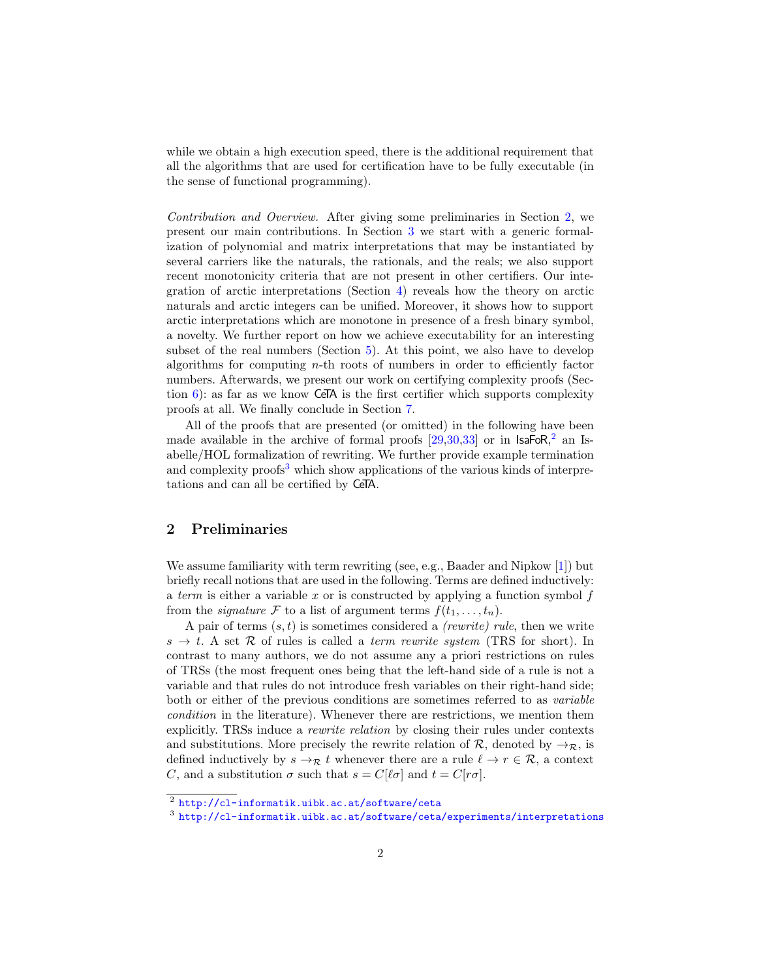while we obtain a high execution speed, there is the additional requirement that all the algorithms that are used for certification have to be fully executable (in the sense of functional programming).

Contribution and Overview. After giving some preliminaries in Section [2,](#page-1-0) we present our main contributions. In Section [3](#page-2-0) we start with a generic formalization of polynomial and matrix interpretations that may be instantiated by several carriers like the naturals, the rationals, and the reals; we also support recent monotonicity criteria that are not present in other certifiers. Our integration of arctic interpretations (Section [4\)](#page-3-0) reveals how the theory on arctic naturals and arctic integers can be unified. Moreover, it shows how to support arctic interpretations which are monotone in presence of a fresh binary symbol, a novelty. We further report on how we achieve executability for an interesting subset of the real numbers (Section [5\)](#page-5-0). At this point, we also have to develop algorithms for computing  $n$ -th roots of numbers in order to efficiently factor numbers. Afterwards, we present our work on certifying complexity proofs (Section  $6$ ): as far as we know CeTA is the first certifier which supports complexity proofs at all. We finally conclude in Section [7.](#page-12-0)

All of the proofs that are presented (or omitted) in the following have been made available in the archive of formal proofs  $[29,30,33]$  $[29,30,33]$  $[29,30,33]$  or in  $IsaFoR$ , an Isabelle/HOL formalization of rewriting. We further provide example termination and complexity proofs<sup>[3](#page-1-2)</sup> which show applications of the various kinds of interpretations and can all be certified by CeTA.

## <span id="page-1-0"></span>2 Preliminaries

We assume familiarity with term rewriting (see, e.g., Baader and Nipkow [\[1\]](#page-12-1)) but briefly recall notions that are used in the following. Terms are defined inductively: a term is either a variable  $x$  or is constructed by applying a function symbol  $f$ from the *signature* F to a list of argument terms  $f(t_1, \ldots, t_n)$ .

A pair of terms  $(s, t)$  is sometimes considered a *(rewrite) rule*, then we write  $s \to t$ . A set R of rules is called a *term rewrite system* (TRS for short). In contrast to many authors, we do not assume any a priori restrictions on rules of TRSs (the most frequent ones being that the left-hand side of a rule is not a variable and that rules do not introduce fresh variables on their right-hand side; both or either of the previous conditions are sometimes referred to as variable condition in the literature). Whenever there are restrictions, we mention them explicitly. TRSs induce a rewrite relation by closing their rules under contexts and substitutions. More precisely the rewrite relation of R, denoted by  $\rightarrow_{\mathcal{R}}$ , is defined inductively by  $s \to_{\mathcal{R}} t$  whenever there are a rule  $\ell \to r \in \mathcal{R}$ , a context C, and a substitution  $\sigma$  such that  $s = C[\ell \sigma]$  and  $t = C[r\sigma]$ .

<span id="page-1-1"></span> $^2$  <http://cl-informatik.uibk.ac.at/software/ceta>

<span id="page-1-2"></span> $^3$  <http://cl-informatik.uibk.ac.at/software/ceta/experiments/interpretations>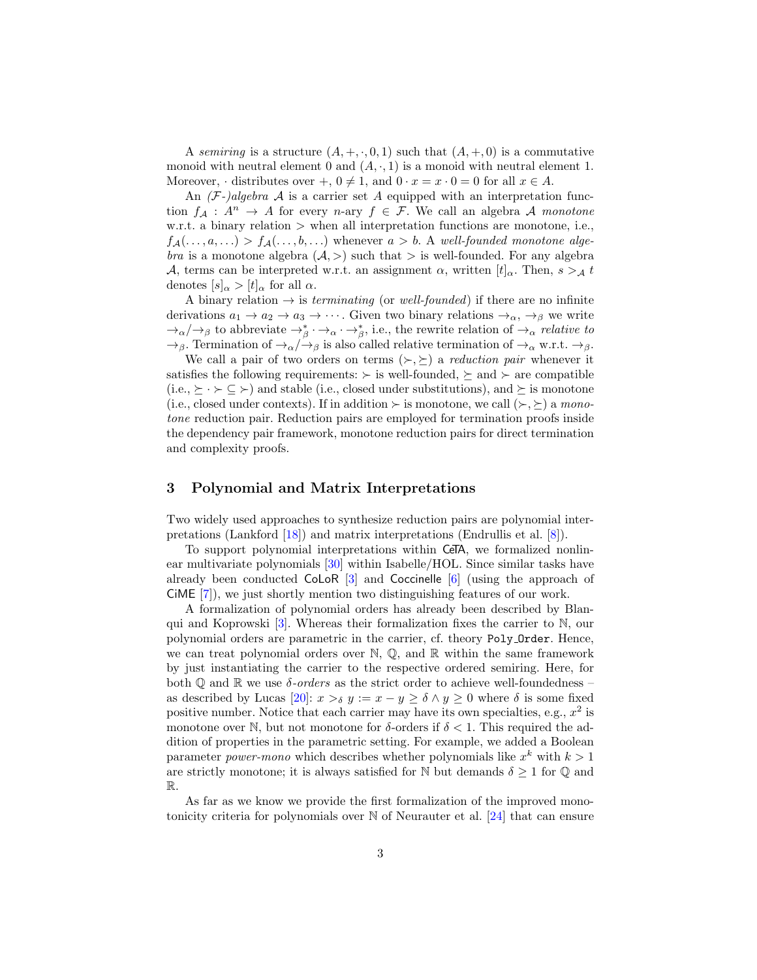A semiring is a structure  $(A, +, \cdot, 0, 1)$  such that  $(A, +, 0)$  is a commutative monoid with neutral element 0 and  $(A, \cdot, 1)$  is a monoid with neutral element 1. Moreover,  $\cdot$  distributes over  $+, 0 \neq 1$ , and  $0 \cdot x = x \cdot 0 = 0$  for all  $x \in A$ .

An  $(F-)algebra$  A is a carrier set A equipped with an interpretation function  $f_A: A^n \to A$  for every n-ary  $f \in \mathcal{F}$ . We call an algebra A monotone w.r.t. a binary relation  $\mathcal{P}$  when all interpretation functions are monotone, i.e.,  $f_A(\ldots, a, \ldots) > f_A(\ldots, b, \ldots)$  whenever  $a > b$ . A well-founded monotone algebra is a monotone algebra  $(A,>)$  such that  $>$  is well-founded. For any algebra A, terms can be interpreted w.r.t. an assignment  $\alpha$ , written  $[t]_{\alpha}$ . Then,  $s >_{\mathcal{A}} t$ denotes  $[s]_{\alpha} > [t]_{\alpha}$  for all  $\alpha$ .

A binary relation  $\rightarrow$  is *terminating* (or *well-founded*) if there are no infinite derivations  $a_1 \to a_2 \to a_3 \to \cdots$ . Given two binary relations  $\to_{\alpha}$ ,  $\to_{\beta}$  we write  $\rightarrow_{\alpha}/\rightarrow_{\beta}$  to abbreviate  $\rightarrow_{\beta}^* \rightarrow_{\alpha} \rightarrow_{\beta}^*$ , i.e., the rewrite relation of  $\rightarrow_{\alpha}$  relative to  $\rightarrow_{\beta}$ . Termination of  $\rightarrow_{\alpha}/\rightarrow_{\beta}$  is also called relative termination of  $\rightarrow_{\alpha}$  w.r.t.  $\rightarrow_{\beta}$ .

We call a pair of two orders on terms  $(\succ, \succeq)$  a *reduction pair* whenever it satisfies the following requirements:  $\succ$  is well-founded,  $\succeq$  and  $\succ$  are compatible  $(i.e., \geq \cdot \geq \subseteq \succ)$  and stable (i.e., closed under substitutions), and  $\succeq$  is monotone (i.e., closed under contexts). If in addition  $\succ$  is monotone, we call  $(\succ, \succeq)$  a monotone reduction pair. Reduction pairs are employed for termination proofs inside the dependency pair framework, monotone reduction pairs for direct termination and complexity proofs.

# <span id="page-2-0"></span>3 Polynomial and Matrix Interpretations

Two widely used approaches to synthesize reduction pairs are polynomial interpretations (Lankford [\[18\]](#page-13-1)) and matrix interpretations (Endrullis et al. [\[8\]](#page-13-2)).

To support polynomial interpretations within CeTA, we formalized nonlinear multivariate polynomials [\[30\]](#page-14-3) within Isabelle/HOL. Since similar tasks have already been conducted  $\text{ColoR}$  [\[3\]](#page-12-2) and  $\text{Coccinelle}$  [\[6\]](#page-13-3) (using the approach of CiME [\[7\]](#page-13-4)), we just shortly mention two distinguishing features of our work.

A formalization of polynomial orders has already been described by Blanqui and Koprowski [\[3\]](#page-12-2). Whereas their formalization fixes the carrier to N, our polynomial orders are parametric in the carrier, cf. theory Poly Order. Hence, we can treat polynomial orders over  $\mathbb{N}, \mathbb{Q}$ , and  $\mathbb{R}$  within the same framework by just instantiating the carrier to the respective ordered semiring. Here, for both  $\mathbb Q$  and  $\mathbb R$  we use  $\delta$ -orders as the strict order to achieve well-foundedness – as described by Lucas [\[20\]](#page-13-5):  $x >_\delta y := x - y \ge \delta \wedge y \ge 0$  where  $\delta$  is some fixed positive number. Notice that each carrier may have its own specialties, e.g.,  $x^2$  is monotone over N, but not monotone for  $\delta$ -orders if  $\delta$  < 1. This required the addition of properties in the parametric setting. For example, we added a Boolean parameter *power-mono* which describes whether polynomials like  $x^k$  with  $k > 1$ are strictly monotone; it is always satisfied for N but demands  $\delta \geq 1$  for Q and R.

As far as we know we provide the first formalization of the improved monotonicity criteria for polynomials over  $\mathbb N$  of Neurauter et al. [\[24\]](#page-14-5) that can ensure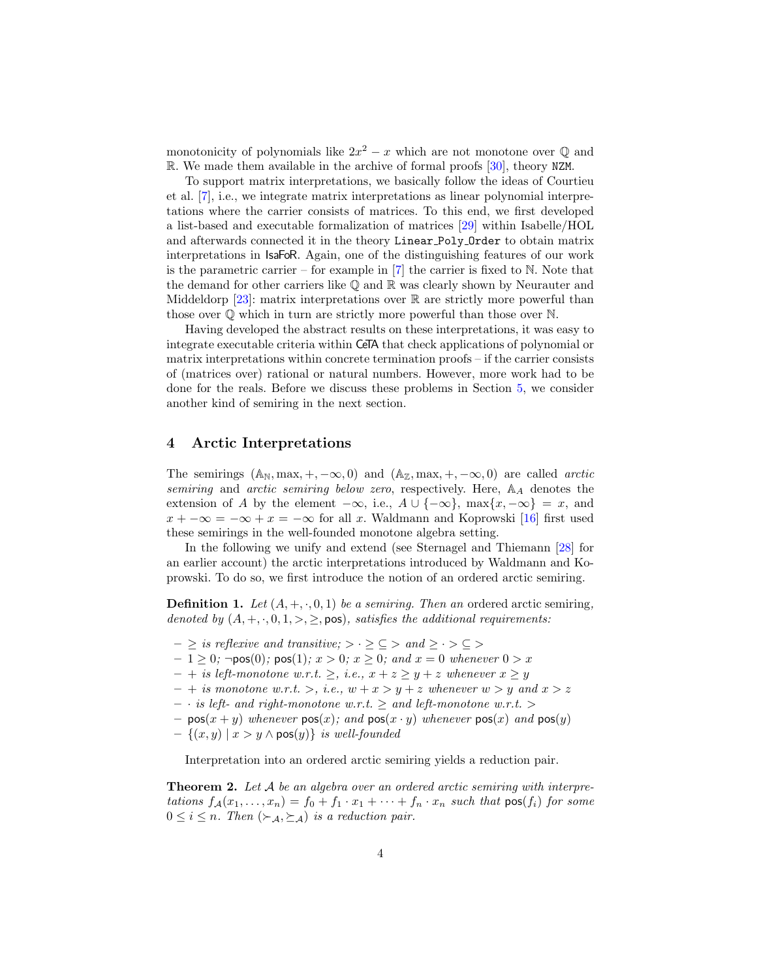monotonicity of polynomials like  $2x^2 - x$  which are not monotone over  $\mathbb Q$  and R. We made them available in the archive of formal proofs [\[30\]](#page-14-3), theory NZM.

To support matrix interpretations, we basically follow the ideas of Courtieu et al. [\[7\]](#page-13-4), i.e., we integrate matrix interpretations as linear polynomial interpretations where the carrier consists of matrices. To this end, we first developed a list-based and executable formalization of matrices [\[29\]](#page-14-2) within Isabelle/HOL and afterwards connected it in the theory Linear Poly Order to obtain matrix interpretations in IsaFoR. Again, one of the distinguishing features of our work is the parametric carrier – for example in  $[7]$  the carrier is fixed to N. Note that the demand for other carriers like  $\mathbb Q$  and  $\mathbb R$  was clearly shown by Neurauter and Middeldorp [\[23\]](#page-14-6): matrix interpretations over  $\mathbb R$  are strictly more powerful than those over Q which in turn are strictly more powerful than those over N.

Having developed the abstract results on these interpretations, it was easy to integrate executable criteria within CeTA that check applications of polynomial or matrix interpretations within concrete termination proofs – if the carrier consists of (matrices over) rational or natural numbers. However, more work had to be done for the reals. Before we discuss these problems in Section [5,](#page-5-0) we consider another kind of semiring in the next section.

## <span id="page-3-0"></span>4 Arctic Interpretations

The semirings  $(A_N, \max, +, -\infty, 0)$  and  $(A_Z, \max, +, -\infty, 0)$  are called *arctic* semiring and arctic semiring below zero, respectively. Here,  $\mathbb{A}_A$  denotes the extension of A by the element  $-\infty$ , i.e.,  $A \cup \{-\infty\}$ ,  $\max\{x, -\infty\} = x$ , and  $x + -\infty = -\infty + x = -\infty$  for all x. Waldmann and Koprowski [\[16\]](#page-13-6) first used these semirings in the well-founded monotone algebra setting.

In the following we unify and extend (see Sternagel and Thiemann [\[28\]](#page-14-7) for an earlier account) the arctic interpretations introduced by Waldmann and Koprowski. To do so, we first introduce the notion of an ordered arctic semiring.

**Definition 1.** Let  $(A, +, \cdot, 0, 1)$  be a semiring. Then an ordered arctic semiring, denoted by  $(A, +, \cdot, 0, 1, >, \geq, \text{pos})$ , satisfies the additional requirements:

- $-$  ≥ is reflexive and transitive; >  $\cdot$  ≥ ⊆ > and ≥  $\cdot$  > ⊆ >
- $1 ≥ 0; \neg pos(0); pos(1); x > 0; x ≥ 0; and x = 0 whenever 0 > x$
- $+$  is left-monotone w.r.t.  $\geq$ , i.e.,  $x + z \geq y + z$  whenever  $x \geq y$
- $+$  is monotone w.r.t. >, i.e.,  $w + x > y + z$  whenever  $w > y$  and  $x > z$
- · is left- and right-monotone w.r.t.  $\geq$  and left-monotone w.r.t.  $>$
- $-$  pos $(x + y)$  whenever pos $(x)$ ; and pos $(x \cdot y)$  whenever pos $(x)$  and pos $(y)$
- {(x, y) | x > y ∧ pos(y)} is well-founded

Interpretation into an ordered arctic semiring yields a reduction pair.

<span id="page-3-1"></span>**Theorem 2.** Let A be an algebra over an ordered arctic semiring with interpretations  $f_{\mathcal{A}}(x_1,\ldots,x_n) = f_0 + f_1 \cdot x_1 + \cdots + f_n \cdot x_n$  such that  $\text{pos}(f_i)$  for some  $0 \leq i \leq n$ . Then  $(\succ_{\mathcal{A}}, \succeq_{\mathcal{A}})$  is a reduction pair.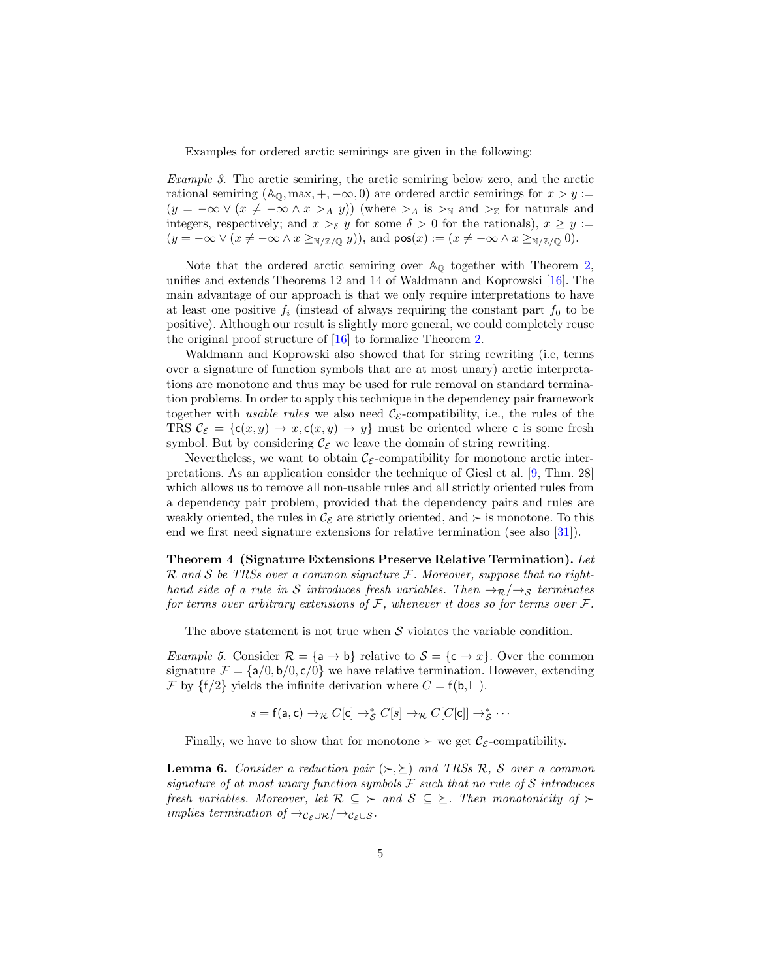Examples for ordered arctic semirings are given in the following:

Example 3. The arctic semiring, the arctic semiring below zero, and the arctic rational semiring  $(A_0, \text{max}, +, -\infty, 0)$  are ordered arctic semirings for  $x > y :=$  $(y = -\infty \vee (x \neq -\infty \wedge x >_A y))$  (where  $>_A$  is  $>_{\mathbb{N}}$  and  $>_{\mathbb{Z}}$  for naturals and integers, respectively; and  $x >_\delta y$  for some  $\delta > 0$  for the rationals),  $x \ge y :=$  $(y = -\infty \vee (x \neq -\infty \wedge x \geq_{N/\mathbb{Z}/\mathbb{Q}} y)),$  and  $\text{pos}(x) := (x \neq -\infty \wedge x \geq_{N/\mathbb{Z}/\mathbb{Q}} 0).$ 

Note that the ordered arctic semiring over  $\mathbb{A}_{\mathbb{O}}$  together with Theorem [2,](#page-3-1) unifies and extends Theorems 12 and 14 of Waldmann and Koprowski [\[16\]](#page-13-6). The main advantage of our approach is that we only require interpretations to have at least one positive  $f_i$  (instead of always requiring the constant part  $f_0$  to be positive). Although our result is slightly more general, we could completely reuse the original proof structure of [\[16\]](#page-13-6) to formalize Theorem [2.](#page-3-1)

Waldmann and Koprowski also showed that for string rewriting (i.e, terms over a signature of function symbols that are at most unary) arctic interpretations are monotone and thus may be used for rule removal on standard termination problems. In order to apply this technique in the dependency pair framework together with usable rules we also need  $\mathcal{C}_{\mathcal{E}}$ -compatibility, i.e., the rules of the TRS  $\mathcal{C}_{\mathcal{E}} = \{c(x, y) \to x, c(x, y) \to y\}$  must be oriented where c is some fresh symbol. But by considering  $\mathcal{C}_{\mathcal{E}}$  we leave the domain of string rewriting.

Nevertheless, we want to obtain  $\mathcal{C}_{\mathcal{E}}$ -compatibility for monotone arctic interpretations. As an application consider the technique of Giesl et al. [\[9,](#page-13-7) Thm. 28] which allows us to remove all non-usable rules and all strictly oriented rules from a dependency pair problem, provided that the dependency pairs and rules are weakly oriented, the rules in  $\mathcal{C}_{\mathcal{E}}$  are strictly oriented, and  $\succ$  is monotone. To this end we first need signature extensions for relative termination (see also [\[31\]](#page-14-8)).

<span id="page-4-0"></span>Theorem 4 (Signature Extensions Preserve Relative Termination). Let  $\mathcal{R}$  and  $\mathcal{S}$  be TRSs over a common signature  $\mathcal{F}$ . Moreover, suppose that no righthand side of a rule in S introduces fresh variables. Then  $\rightarrow_R/\rightarrow_S$  terminates for terms over arbitrary extensions of  $\mathcal F$ , whenever it does so for terms over  $\mathcal F$ .

The above statement is not true when  $S$  violates the variable condition.

*Example 5.* Consider  $\mathcal{R} = \{a \rightarrow b\}$  relative to  $\mathcal{S} = \{c \rightarrow x\}$ . Over the common signature  $\mathcal{F} = \{a/0, b/0, c/0\}$  we have relative termination. However, extending  $\mathcal F$  by  $\{f/2\}$  yields the infinite derivation where  $C = f(b, \Box)$ .

$$
s = f(a, c) \rightarrow_{\mathcal{R}} C[c] \rightarrow_{\mathcal{S}}^* C[s] \rightarrow_{\mathcal{R}} C[C[c]] \rightarrow_{\mathcal{S}}^* \cdots
$$

Finally, we have to show that for monotone  $\succ$  we get  $\mathcal{C}_{\mathcal{E}}$ -compatibility.

**Lemma 6.** Consider a reduction pair  $(\succ, \succeq)$  and TRSs R, S over a common signature of at most unary function symbols  $\mathcal F$  such that no rule of S introduces fresh variables. Moreover, let  $\mathcal{R} \subseteq \mathcal{P}$  and  $\mathcal{S} \subseteq \mathcal{P}$ . Then monotonicity of  $\mathcal{P}$ implies termination of  $\rightarrow_{\mathcal{C}_{\mathcal{E}} \cup \mathcal{R}}/\rightarrow_{\mathcal{C}_{\mathcal{E}} \cup \mathcal{S}}$ .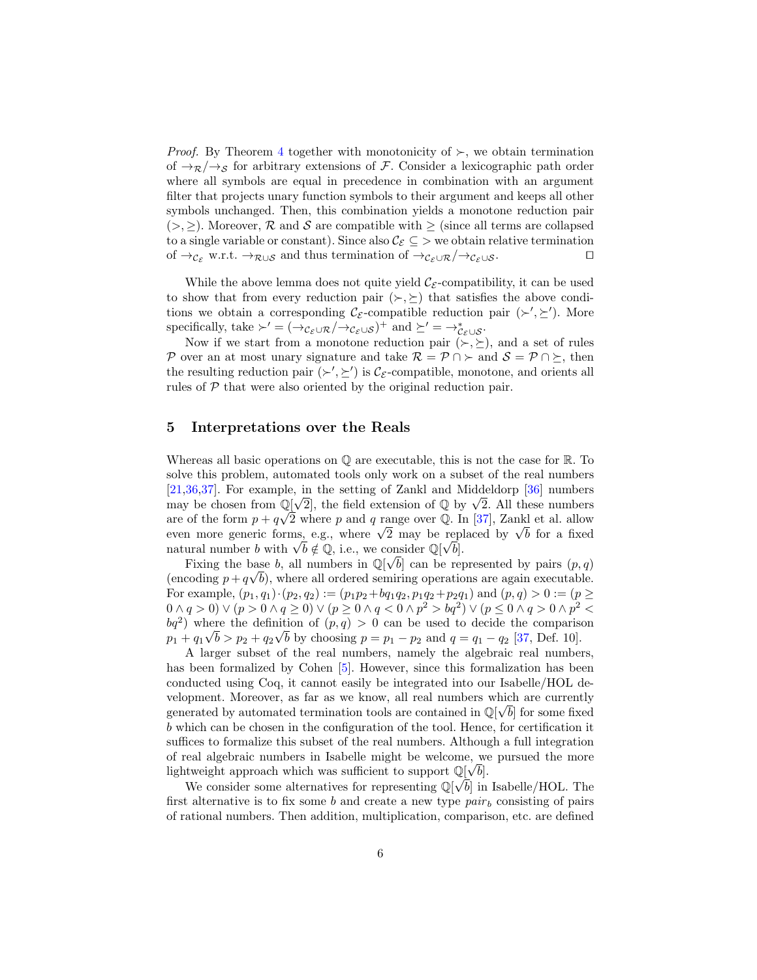*Proof.* By Theorem [4](#page-4-0) together with monotonicity of  $\succ$ , we obtain termination of  $\rightarrow_{\mathcal{R}}/\rightarrow_{\mathcal{S}}$  for arbitrary extensions of F. Consider a lexicographic path order where all symbols are equal in precedence in combination with an argument filter that projects unary function symbols to their argument and keeps all other symbols unchanged. Then, this combination yields a monotone reduction pair  $(>, \geq)$ . Moreover, R and S are compatible with  $\geq$  (since all terms are collapsed to a single variable or constant). Since also  $\mathcal{C}_{\mathcal{E}} \subseteq \mathcal{E}$  we obtain relative termination of  $\rightarrow_{\mathcal{C}_{\mathcal{E}}}$  w.r.t.  $\rightarrow_{\mathcal{R}\cup\mathcal{S}}$  and thus termination of  $\rightarrow_{\mathcal{C}_{\mathcal{E}}\cup\mathcal{R}}/\rightarrow_{\mathcal{C}_{\mathcal{E}}\cup\mathcal{S}}$ .

While the above lemma does not quite yield  $\mathcal{C}_{\mathcal{E}}$ -compatibility, it can be used to show that from every reduction pair  $(\succ, \geq)$  that satisfies the above conditions we obtain a corresponding  $\mathcal{C}_{\mathcal{E}}$ -compatible reduction pair  $(\succ', \succeq')$ . More specifically, take  $\succ' = (\rightarrow_{\mathcal{C}_{\mathcal{E}} \cup \mathcal{R}} / \rightarrow_{\mathcal{C}_{\mathcal{E}} \cup \mathcal{S}} )^+$  and  $\succeq' = \rightarrow_{\mathcal{C}_{\mathcal{E}} \cup \mathcal{S}}^*$ .

Now if we start from a monotone reduction pair  $(\Sigma, \Sigma)$ , and a set of rules P over an at most unary signature and take  $\mathcal{R} = \mathcal{P} \cap \succ$  and  $\mathcal{S} = \mathcal{P} \cap \succeq$ , then the resulting reduction pair  $(\succ', \succeq')$  is  $\mathcal{C}_{\mathcal{E}}$ -compatible, monotone, and orients all rules of  $P$  that were also oriented by the original reduction pair.

## <span id="page-5-0"></span>5 Interpretations over the Reals

Whereas all basic operations on  $\mathbb Q$  are executable, this is not the case for  $\mathbb R$ . To solve this problem, automated tools only work on a subset of the real numbers [\[21](#page-14-9)[,36](#page-14-10)[,37\]](#page-14-11). For example, in the setting of Zankl and Middeldorp [\[36\]](#page-14-10) numbers  $[21,36,37]$ . For example, in the setting of Zanki and Middeldorp [36] numbers may be chosen from  $\mathbb{Q}[\sqrt{2}]$ , the field extension of  $\mathbb{Q}$  by  $\sqrt{2}$ . All these numbers are of the form  $p + q\sqrt{2}$  where p and q range over Q. In [\[37\]](#page-14-11), Zankl et al. allow are of the form  $p + q\sqrt{2}$  where p and q range over Q. In [37], Zanki et al. allow<br>even more generic forms, e.g., where  $\sqrt{2}$  may be replaced by  $\sqrt{b}$  for a fixed even more generic forms, e.g., where  $\sqrt{2}$  may be replaced natural number b with  $\sqrt{b} \notin \mathbb{Q}$ , i.e., we consider  $\mathbb{Q}[\sqrt{b}]$ .

Fixing the base b, all numbers in  $\mathbb{Q}[\sqrt{b}]$  can be represented by pairs  $(p, q)$ (encoding  $p + q\sqrt{b}$ ), where all ordered semiring operations are again executable. For example,  $(p_1, q_1) \cdot (p_2, q_2) := (p_1p_2 + bq_1q_2, p_1q_2 + p_2q_1)$  and  $(p, q) > 0 := (p \geq$  $(0 \wedge q > 0) \vee (p > 0 \wedge q \ge 0) \vee (p \ge 0 \wedge q < 0 \wedge p^2 > bq^2) \vee (p \le 0 \wedge q > 0 \wedge p^2 < 0$  $bq^2$ ) where the definition of  $(p,q) > 0$  can be used to decide the comparison  $p_1 + q_1 \sqrt{b} > p_2 + q_2 \sqrt{b}$  by choosing  $p = p_1 - p_2$  and  $q = q_1 - q_2$  [\[37,](#page-14-11) Def. 10].

A larger subset of the real numbers, namely the algebraic real numbers, has been formalized by Cohen [\[5\]](#page-13-8). However, since this formalization has been conducted using Coq, it cannot easily be integrated into our Isabelle/HOL development. Moreover, as far as we know, all real numbers which are currently generated by automated termination tools are contained in  $\mathbb{Q}[\sqrt{b}]$  for some fixed b which can be chosen in the configuration of the tool. Hence, for certification it suffices to formalize this subset of the real numbers. Although a full integration of real algebraic numbers in Isabelle might be welcome, we pursued the more lightweight approach which was sufficient to support  $\mathbb{Q}[\sqrt{b}]$ .

We consider some alternatives for representing  $\mathbb{Q}[\sqrt{\overline{b}}]$  in Isabelle/HOL. The first alternative is to fix some  $b$  and create a new type  $pair_b$  consisting of pairs of rational numbers. Then addition, multiplication, comparison, etc. are defined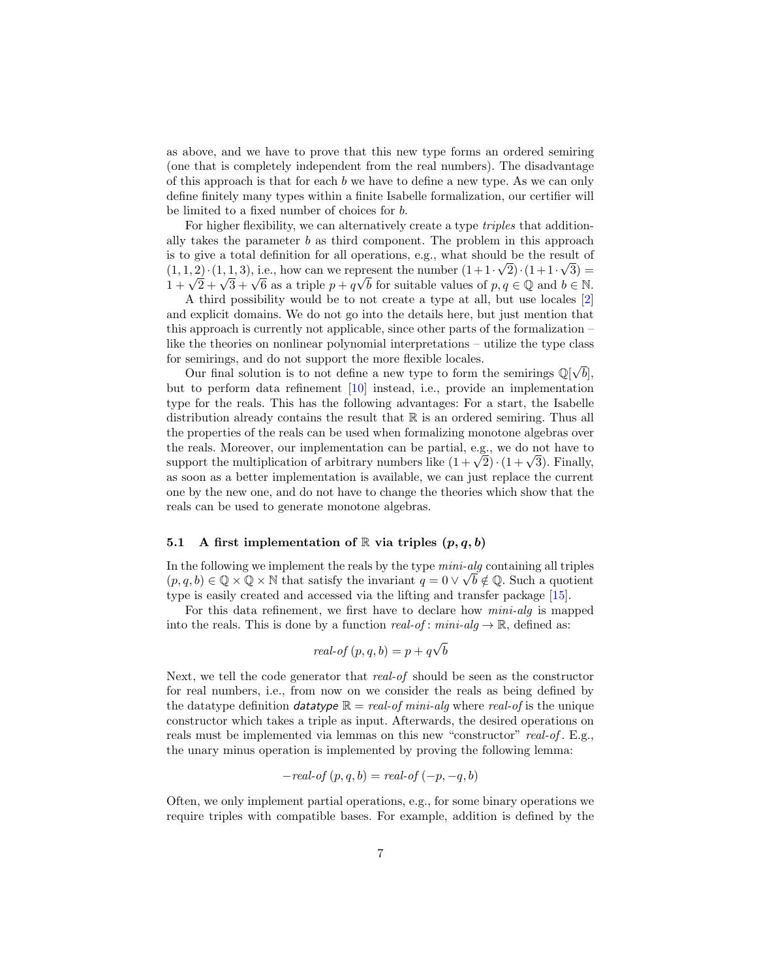as above, and we have to prove that this new type forms an ordered semiring (one that is completely independent from the real numbers). The disadvantage of this approach is that for each b we have to define a new type. As we can only define finitely many types within a finite Isabelle formalization, our certifier will be limited to a fixed number of choices for b.

For higher flexibility, we can alternatively create a type *triples* that additionally takes the parameter  $b$  as third component. The problem in this approach is to give a total definition for all operations, e.g., what should be the result of  $(1, 1, 2) \cdot (1, 1, 3)$ , i.e., how can we represent the number  $(1 + 1 \cdot \sqrt{2}) \cdot (1 + 1 \cdot \sqrt{3}) =$  $(1,1,2) \cdot (1,1,3)$ , i.e., now can we represent the number  $(1+1 \cdot \sqrt{2}) \cdot (1+1 \cdot \sqrt{3}) =$ <br> $1+\sqrt{2}+\sqrt{3}+\sqrt{6}$  as a triple  $p+q\sqrt{b}$  for suitable values of  $p,q \in \mathbb{Q}$  and  $b \in \mathbb{N}$ .

A third possibility would be to not create a type at all, but use locales [\[2\]](#page-12-3) and explicit domains. We do not go into the details here, but just mention that this approach is currently not applicable, since other parts of the formalization – like the theories on nonlinear polynomial interpretations – utilize the type class for semirings, and do not support the more flexible locales.

semirings, and do not support the more flexible locales.<br>Our final solution is to not define a new type to form the semirings  $\mathbb{Q}[\sqrt{ }$  $b,$ but to perform data refinement [\[10\]](#page-13-9) instead, i.e., provide an implementation type for the reals. This has the following advantages: For a start, the Isabelle distribution already contains the result that  $\mathbb R$  is an ordered semiring. Thus all the properties of the reals can be used when formalizing monotone algebras over the reals. Moreover, our implementation can be partial, e.g., we do not have to the reals. Moreover, our implementation can be partial, e.g., we do not have to support the multiplication of arbitrary numbers like  $(1 + \sqrt{2}) \cdot (1 + \sqrt{3})$ . Finally, as soon as a better implementation is available, we can just replace the current one by the new one, and do not have to change the theories which show that the reals can be used to generate monotone algebras.

#### 5.1 A first implementation of  $\mathbb R$  via triples  $(p, q, b)$

In the following we implement the reals by the type  $min\text{-}alg$  containing all triples  $(p,q,b) \in \mathbb{Q} \times \mathbb{Q} \times \mathbb{N}$  that satisfy the invariant  $q = 0 \vee \sqrt{b} \notin \mathbb{Q}$ . Such a quotient type is easily created and accessed via the lifting and transfer package [\[15\]](#page-13-10).

For this data refinement, we first have to declare how mini-alg is mapped into the reals. This is done by a function real-of:  $min\text{-}alg \rightarrow \mathbb{R}$ , defined as:

real-of 
$$
(p, q, b) = p + q\sqrt{b}
$$

Next, we tell the code generator that real-of should be seen as the constructor for real numbers, i.e., from now on we consider the reals as being defined by the datatype definition **datatype**  $\mathbb{R} = real$ -of mini-alg where real-of is the unique constructor which takes a triple as input. Afterwards, the desired operations on reals must be implemented via lemmas on this new "constructor" real-of. E.g., the unary minus operation is implemented by proving the following lemma:

$$
-real\text{-}of (p, q, b) = real\text{-}of (-p, -q, b)
$$

Often, we only implement partial operations, e.g., for some binary operations we require triples with compatible bases. For example, addition is defined by the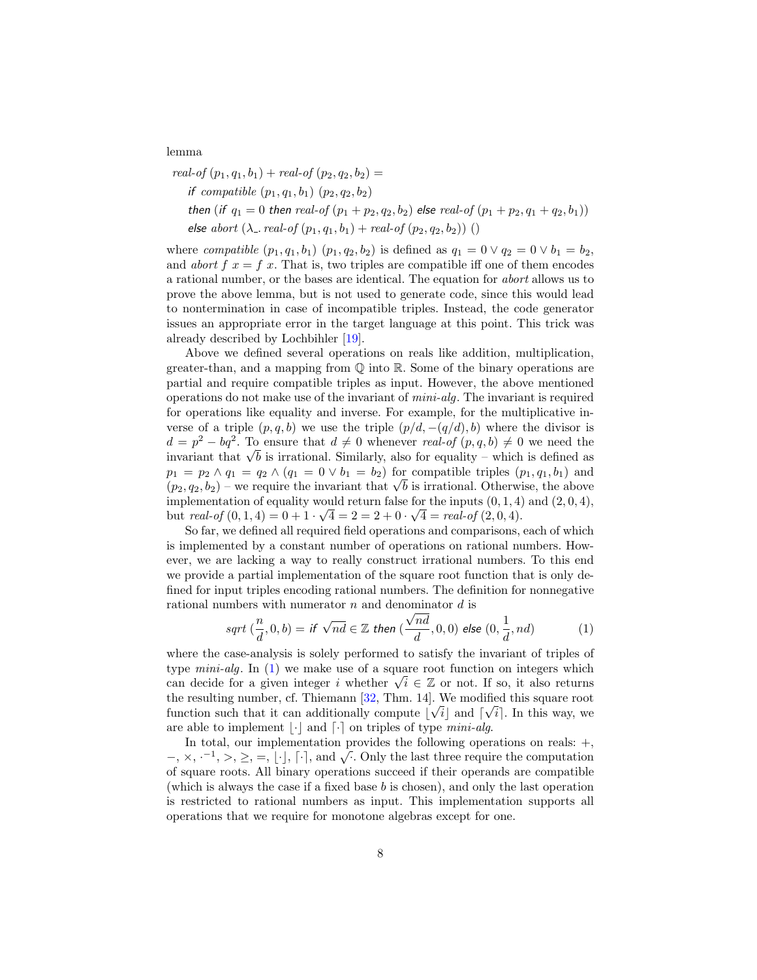lemma

real-of 
$$
(p_1, q_1, b_1)
$$
 + real-of  $(p_2, q_2, b_2)$  =  
if compatible  $(p_1, q_1, b_1)$   $(p_2, q_2, b_2)$   
then  $($ if  $q_1 = 0$  then real-of  $(p_1 + p_2, q_2, b_2)$  else real-of  $(p_1 + p_2, q_1 + q_2, b_1)$ )  
else abort  $(\lambda_{-}$  real-of  $(p_1, q_1, b_1)$  + real-of  $(p_2, q_2, b_2)$ )  $)$ 

where *compatible*  $(p_1, q_1, b_1)$   $(p_1, q_2, b_2)$  is defined as  $q_1 = 0 \vee q_2 = 0 \vee b_1 = b_2$ , and abort  $f(x) = f(x)$ . That is, two triples are compatible iff one of them encodes a rational number, or the bases are identical. The equation for abort allows us to prove the above lemma, but is not used to generate code, since this would lead to nontermination in case of incompatible triples. Instead, the code generator issues an appropriate error in the target language at this point. This trick was already described by Lochbihler [\[19\]](#page-13-11).

Above we defined several operations on reals like addition, multiplication, greater-than, and a mapping from  $\mathbb Q$  into  $\mathbb R$ . Some of the binary operations are partial and require compatible triples as input. However, the above mentioned operations do not make use of the invariant of  $minialq$ . The invariant is required for operations like equality and inverse. For example, for the multiplicative inverse of a triple  $(p, q, b)$  we use the triple  $(p/d, -(q/d), b)$  where the divisor is  $d = p^2 - bq^2$ . To ensure that  $d \neq 0$  whenever real-of  $(p, q, b) \neq 0$  we need the  $a = p^2 - bq^2$ . To ensure that  $a \neq 0$  whenever real-of  $(p, q, 0) \neq 0$  we need the invariant that  $\sqrt{b}$  is irrational. Similarly, also for equality – which is defined as  $p_1 = p_2 \wedge q_1 = q_2 \wedge (q_1 = 0 \vee b_1 = b_2)$  for compatible triples  $(p_1, q_1, b_1)$  and  $p_1 = p_2 \wedge q_1 = q_2 \wedge (q_1 = 0 \vee b_1 = b_2)$  for compatible triples  $(p_1, q_1, b_1)$  and  $(p_2, q_2, b_2)$  – we require the invariant that  $\sqrt{b}$  is irrational. Otherwise, the above implementation of equality would return false for the inputs  $(0, 1, 4)$  and  $(2, 0, 4)$ , but real-of  $(0,1,4) = 0 + 1 \cdot \sqrt{4} = 2 = 2 + 0 \cdot \sqrt{4} =$  real-of  $(2,0,4)$ .

So far, we defined all required field operations and comparisons, each of which is implemented by a constant number of operations on rational numbers. However, we are lacking a way to really construct irrational numbers. To this end we provide a partial implementation of the square root function that is only defined for input triples encoding rational numbers. The definition for nonnegative rational numbers with numerator n and denominator d is

<span id="page-7-0"></span>
$$
sqrt\left(\frac{n}{d},0,b\right)=\text{if }\sqrt{nd}\in\mathbb{Z}\text{ then }(\frac{\sqrt{nd}}{d},0,0)\text{ else }(0,\frac{1}{d},nd) \qquad \qquad (1)
$$

where the case-analysis is solely performed to satisfy the invariant of triples of type mini-alg. In [\(1\)](#page-7-0) we make use of a square root function on integers which type mini-alg. In (1) we make use of a square root function on integers which<br>can decide for a given integer i whether  $\sqrt{i} \in \mathbb{Z}$  or not. If so, it also returns the resulting number, cf. Thiemann [\[32,](#page-14-12) Thm. 14]. We modified this square root function such that it can additionally compute  $|\sqrt{i}|$  and  $|\sqrt{i}|$ . In this way, we are able to implement  $\lvert \cdot \rvert$  and  $\lvert \cdot \rvert$  on triples of type *mini-alg.* 

In total, our implementation provides the following operations on reals:  $+,$ In total, our implementation provides the following operations on reals:  $+$ ,<br>–,  $\times$ ,  $-$ <sup>1</sup>,  $>$ ,  $\geq$ ,  $=$ ,  $\lfloor \cdot \rfloor$ ,  $\lceil \cdot \rceil$ , and  $\sqrt{\cdot}$ . Only the last three require the computation of square roots. All binary operations succeed if their operands are compatible (which is always the case if a fixed base b is chosen), and only the last operation is restricted to rational numbers as input. This implementation supports all operations that we require for monotone algebras except for one.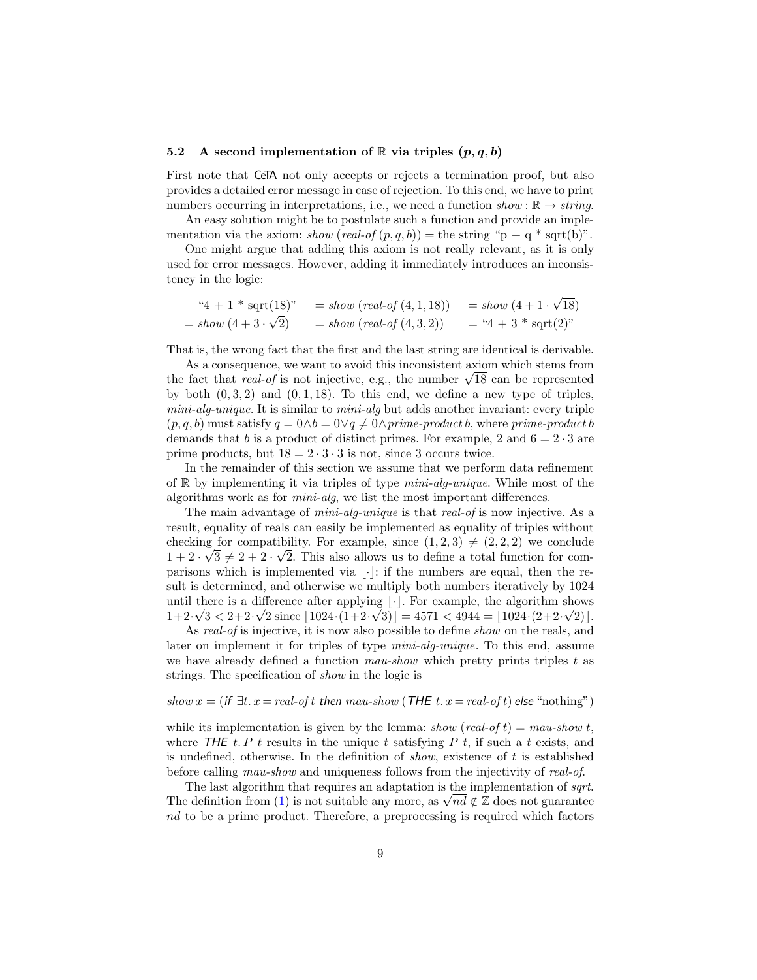#### 5.2 A second implementation of  $\mathbb R$  via triples  $(p, q, b)$

First note that CeTA not only accepts or rejects a termination proof, but also provides a detailed error message in case of rejection. To this end, we have to print numbers occurring in interpretations, i.e., we need a function show :  $\mathbb{R} \to string$ .

An easy solution might be to postulate such a function and provide an implementation via the axiom: show (real-of  $(p, q, b)$ ) = the string "p + q \* sqrt(b)".

One might argue that adding this axiom is not really relevant, as it is only used for error messages. However, adding it immediately introduces an inconsistency in the logic:

$$
``4 + 1 * sqrt(18)" = show (real-of (4, 1, 18)) = show (4 + 1 \cdot \sqrt{18})
$$
  
= show (4 + 3 \cdot \sqrt{2}) = show (real-of (4, 3, 2)) = "4 + 3 \* sqrt(2)"

That is, the wrong fact that the first and the last string are identical is derivable.

As a consequence, we want to avoid this inconsistent axiom which stems from As a consequence, we want to avoid this inconsistent axiom which stems from the fact that *real-of* is not injective, e.g., the number  $\sqrt{18}$  can be represented by both  $(0, 3, 2)$  and  $(0, 1, 18)$ . To this end, we define a new type of triples, mini-alg-unique. It is similar to mini-alg but adds another invariant: every triple  $(p, q, b)$  must satisfy  $q = 0 \land b = 0 \lor q \neq 0 \land prime-product b$ , where prime-product b demands that b is a product of distinct primes. For example, 2 and  $6 = 2 \cdot 3$  are prime products, but  $18 = 2 \cdot 3 \cdot 3$  is not, since 3 occurs twice.

In the remainder of this section we assume that we perform data refinement of  $\mathbb R$  by implementing it via triples of type  $minialg\text{-}unique$ . While most of the algorithms work as for mini-alg, we list the most important differences.

The main advantage of *mini-alg-unique* is that *real-of* is now injective. As a result, equality of reals can easily be implemented as equality of triples without checking for compatibility. For example, since  $(1,2,3) \neq (2,2,2)$  we conclude  $1 + 2 \cdot \sqrt{3} \neq 2 + 2 \cdot \sqrt{2}$ . This also allows us to define a total function for comparisons which is implemented via  $|\cdot|$ : if the numbers are equal, then the result is determined, and otherwise we multiply both numbers iteratively by 1024 until there is a difference after applying  $\lfloor \cdot \rfloor$ . For example, the algorithm shows  $1+2\cdot\sqrt{3} < 2+2\cdot\sqrt{2}$  since  $\lfloor 1024\cdot(1+2\cdot\sqrt{3}) \rfloor = 4571 < 4944 = \lfloor 1024\cdot(2+2\cdot\sqrt{2}) \rfloor$ .

As *real-of* is injective, it is now also possible to define *show* on the reals, and later on implement it for triples of type mini-alg-unique. To this end, assume we have already defined a function  $mau\text{-}show$  which pretty prints triples t as strings. The specification of show in the logic is

## show  $x = (if \exists t. x = real-off t$  then mau-show (THE t.  $x = real-off t$ ) else "nothing")

while its implementation is given by the lemma: show (real-of t) = mau-show t, where THE t. P t results in the unique t satisfying  $P$  t, if such a t exists, and is undefined, otherwise. In the definition of *show*, existence of  $t$  is established before calling mau-show and uniqueness follows from the injectivity of real-of.

The last algorithm that requires an adaptation is the implementation of *sqrt*. The last algorithm that requires an adaptation is the implementation of *sqrt*.<br>The definition from [\(1\)](#page-7-0) is not suitable any more, as  $\sqrt{nd} \notin \mathbb{Z}$  does not guarantee nd to be a prime product. Therefore, a preprocessing is required which factors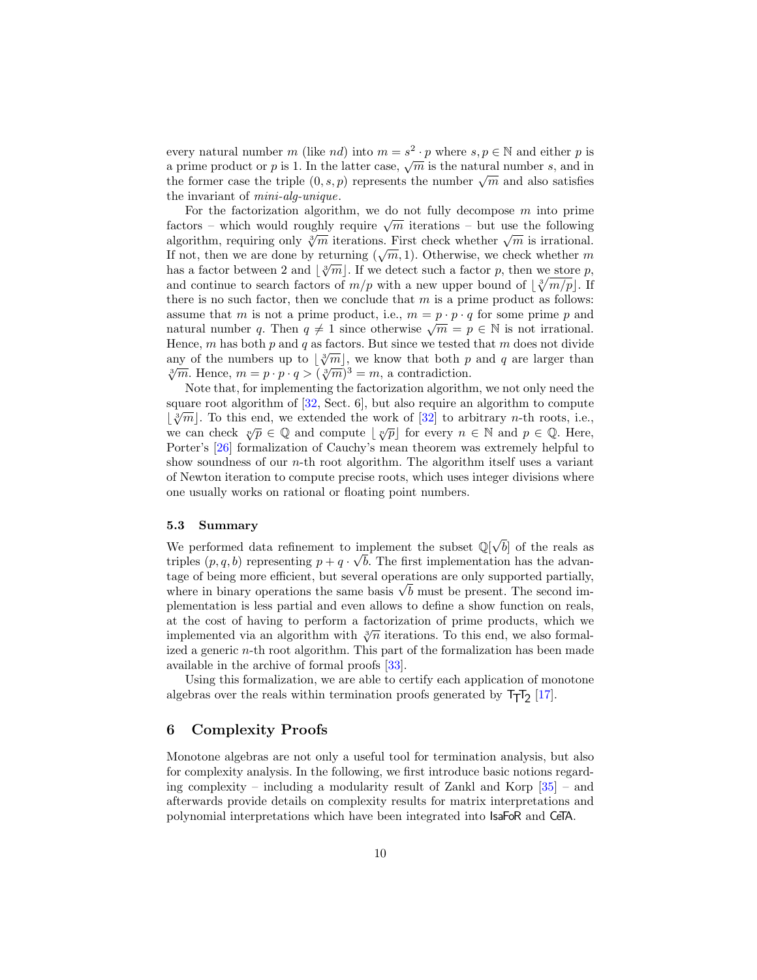every natural number m (like nd) into  $m = s^2 \cdot p$  where  $s, p \in \mathbb{N}$  and either p is every natural number m (like ma) into  $m = s + p$  where  $s, p \in \mathbb{N}$  and either p is a prime product or p is 1. In the latter case,  $\sqrt{m}$  is the natural number s, and in the former case the triple  $(0, s, p)$  represents the number  $\sqrt{m}$  and also satisfies the invariant of mini-alg-unique.

For the factorization algorithm, we do not fully decompose  $m$  into prime For the factorization algorithm, we do not fully decompose m into prime<br>factors – which would roughly require  $\sqrt{m}$  iterations – but use the following actors – which would foughly require  $\sqrt{m}$  iterations – but use the following algorithm, requiring only  $\sqrt[3]{m}$  iterations. First check whether  $\sqrt{m}$  is irrational. algorithm, requiring only  $\sqrt{m}$  iterations. First check whether  $\sqrt{m}$  is irrational.<br>If not, then we are done by returning ( $\sqrt{m}$ , 1). Otherwise, we check whether m If not, then we are done by returning  $(\sqrt{m}, 1)$ . Otherwise, we check whether m<br>has a factor between 2 and  $\lfloor \sqrt[3]{m} \rfloor$ . If we detect such a factor p, then we store p, and continue to search factors of  $m/p$  with a new upper bound of  $\lfloor \sqrt[3]{m/p} \rfloor$ . If there is no such factor, then we conclude that  $m$  is a prime product as follows: assume that m is not a prime product, i.e.,  $m = p \cdot p \cdot q$  for some prime p and assume that m is not a prime product, i.e.,  $m = p \cdot q$  for some prime p and natural number q. Then  $q \neq 1$  since otherwise  $\sqrt{m} = p \in \mathbb{N}$  is not irrational. Hence, m has both  $p$  and  $q$  as factors. But since we tested that m does not divide Thence, m has both p and q as factors. But since we tested that m does not divide<br>any of the numbers up to  $\sqrt[3]{m}$ , we know that both p and q are larger than any of the numbers up to  $\lfloor \sqrt[m]{m} \rfloor$ , we know that both p<br> $\sqrt[3]{m}$ . Hence,  $m = p \cdot p \cdot q > (\sqrt[3]{m})^3 = m$ , a contradiction.

Note that, for implementing the factorization algorithm, we not only need the square root algorithm of  $[32, Sect. 6]$  $[32, Sect. 6]$ , but also require an algorithm to compute square root algorithm of [32, sect. 0], but also require an algorithm to compute  $\lfloor \sqrt[3]{m} \rfloor$ . To this end, we extended the work of [\[32\]](#page-14-12) to arbitrary *n*-th roots, i.e., ( $\sqrt{n}$ ). To this cha, we extended the work of  $\lfloor 3/2 \rfloor$  to arbitrary *n*-ch roots, i.e., we can check  $\sqrt[n]{p} \in \mathbb{Q}$  and compute  $\lfloor \sqrt[n]{p} \rfloor$  for every  $n \in \mathbb{N}$  and  $p \in \mathbb{Q}$ . Here, Porter's [\[26\]](#page-14-13) formalization of Cauchy's mean theorem was extremely helpful to show soundness of our  $n$ -th root algorithm. The algorithm itself uses a variant of Newton iteration to compute precise roots, which uses integer divisions where one usually works on rational or floating point numbers.

## 5.3 Summary

We performed data refinement to implement the subset  $\mathbb{Q}[\sqrt{\ }$ implement the subset  $\mathbb{Q}[\sqrt{b}]$  of the reals as triples  $(p, q, b)$  representing  $p + q \cdot \sqrt{b}$ . The first implementation has the advantage of being more efficient, but several operations are only supported partially, tage or being more emcient, but several operations are only supported partially, where in binary operations the same basis  $\sqrt{b}$  must be present. The second implementation is less partial and even allows to define a show function on reals, at the cost of having to perform a factorization of prime products, which we implemented via an algorithm with  $\sqrt[3]{n}$  iterations. To this end, we also formalized a generic n-th root algorithm. This part of the formalization has been made available in the archive of formal proofs [\[33\]](#page-14-4).

Using this formalization, we are able to certify each application of monotone algebras over the reals within termination proofs generated by  $T_{\overline{1}}T_{2}$  [\[17\]](#page-13-12).

## <span id="page-9-0"></span>6 Complexity Proofs

Monotone algebras are not only a useful tool for termination analysis, but also for complexity analysis. In the following, we first introduce basic notions regarding complexity – including a modularity result of Zankl and Korp  $\left[35\right]$  – and afterwards provide details on complexity results for matrix interpretations and polynomial interpretations which have been integrated into IsaFoR and CeTA.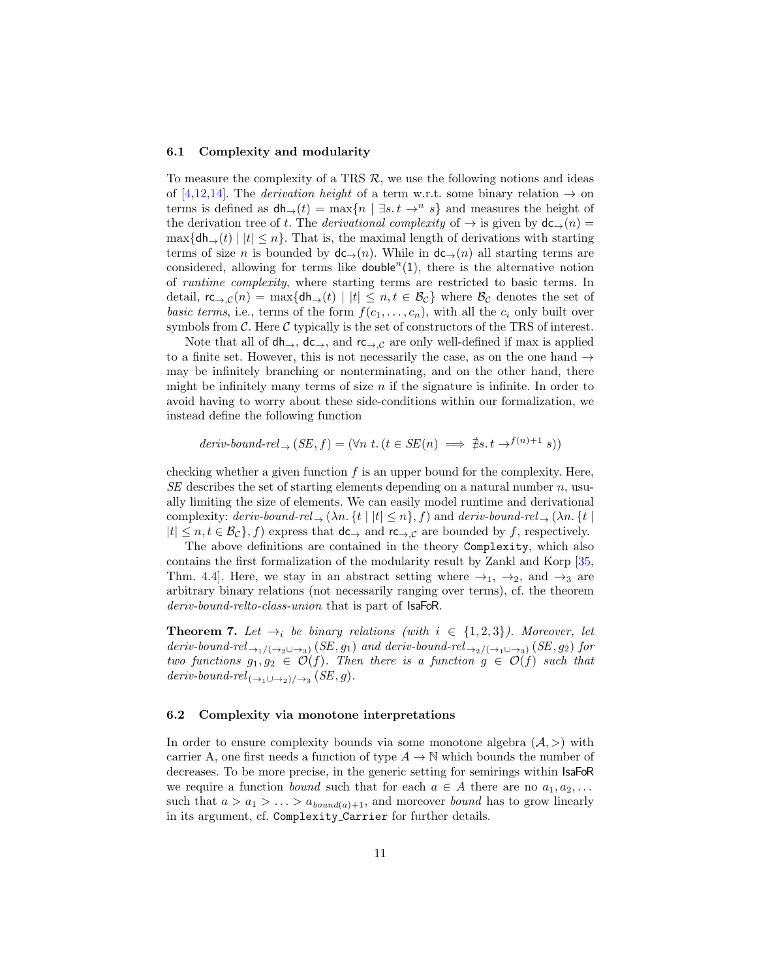#### 6.1 Complexity and modularity

To measure the complexity of a TRS  $\mathcal{R}$ , we use the following notions and ideas of [\[4](#page-13-13)[,12](#page-13-14)[,14\]](#page-13-15). The *derivation height* of a term w.r.t. some binary relation  $\rightarrow$  on terms is defined as  $dh$ ,  $(t) = \max\{n \mid \exists s.t \rightarrow^n s\}$  and measures the height of the derivation tree of t. The *derivational complexity* of  $\rightarrow$  is given by  $d\mathsf{c}_{\rightarrow}(n)$  =  $\max\{dh_{\rightarrow}(t) \mid |t| \leq n\}$ . That is, the maximal length of derivations with starting terms of size n is bounded by  $d\mathsf{c}_{\rightarrow}(n)$ . While in  $d\mathsf{c}_{\rightarrow}(n)$  all starting terms are considered, allowing for terms like  $\text{double}^n(1)$ , there is the alternative notion of runtime complexity, where starting terms are restricted to basic terms. In detail,  $rc_{\rightarrow,C}(n) = \max\{dh_{\rightarrow}(t) \mid |t| \leq n, t \in \mathcal{B}_{\mathcal{C}}\}\$  where  $\mathcal{B}_{\mathcal{C}}$  denotes the set of basic terms, i.e., terms of the form  $f(c_1, \ldots, c_n)$ , with all the  $c_i$  only built over symbols from  $\mathcal C$ . Here  $\mathcal C$  typically is the set of constructors of the TRS of interest.

Note that all of  $dh_{\rightarrow}$ ,  $dc_{\rightarrow}$ , and  $rc_{\rightarrow}c$  are only well-defined if max is applied to a finite set. However, this is not necessarily the case, as on the one hand  $\rightarrow$ may be infinitely branching or nonterminating, and on the other hand, there might be infinitely many terms of size  $n$  if the signature is infinite. In order to avoid having to worry about these side-conditions within our formalization, we instead define the following function

deriv-bound-rel  $\rightarrow$  (SE, f) = ( $\forall n$  t. ( $t \in SE(n) \implies \nexists s \cdot t \rightarrow^{f(n)+1} s$ ))

checking whether a given function  $f$  is an upper bound for the complexity. Here,  $SE$  describes the set of starting elements depending on a natural number  $n$ , usually limiting the size of elements. We can easily model runtime and derivational complexity: deriv-bound-rel  $\rightarrow (\lambda n. \{t \mid |t| \leq n\}, f)$  and deriv-bound-rel  $\rightarrow (\lambda n. \{t \mid t\}, f)$  $|t| \leq n, t \in \mathcal{B}_{\mathcal{C}}\}, f)$  express that  $d\mathbf{c}_{\rightarrow}$  and  $r \in \mathcal{C}_{\rightarrow}$  are bounded by f, respectively.

The above definitions are contained in the theory Complexity, which also contains the first formalization of the modularity result by Zankl and Korp [\[35,](#page-14-14) Thm. 4.4]. Here, we stay in an abstract setting where  $\rightarrow_1$ ,  $\rightarrow_2$ , and  $\rightarrow_3$  are arbitrary binary relations (not necessarily ranging over terms), cf. the theorem deriv-bound-relto-class-union that is part of IsaFoR.

**Theorem 7.** Let  $\rightarrow_i$  be binary relations (with  $i \in \{1,2,3\}$ ). Moreover, let deriv-bound-rel  $\rightarrow$ <sub>1</sub>/( $\rightarrow$ <sub>2</sub>∪ $\rightarrow$ <sub>3</sub>)</sub> (SE, g<sub>1</sub>) and deriv-bound-rel  $\rightarrow$ <sub>2</sub>/( $\rightarrow$ <sub>1</sub>∪ $\rightarrow$ <sub>3</sub>) (SE, g<sub>2</sub>) for two functions  $g_1, g_2 \in \mathcal{O}(f)$ . Then there is a function  $g \in \mathcal{O}(f)$  such that  $deriv-bound\text{-}rel_{(\rightarrow_1 \cup \rightarrow_2)/\rightarrow_3} (SE, g).$ 

## 6.2 Complexity via monotone interpretations

In order to ensure complexity bounds via some monotone algebra  $(A, >)$  with carrier A, one first needs a function of type  $A \to \mathbb{N}$  which bounds the number of decreases. To be more precise, in the generic setting for semirings within IsaFoR we require a function *bound* such that for each  $a \in A$  there are no  $a_1, a_2, \ldots$ such that  $a > a_1 > \ldots > a_{bound(a)+1}$ , and moreover *bound* has to grow linearly in its argument, cf. Complexity Carrier for further details.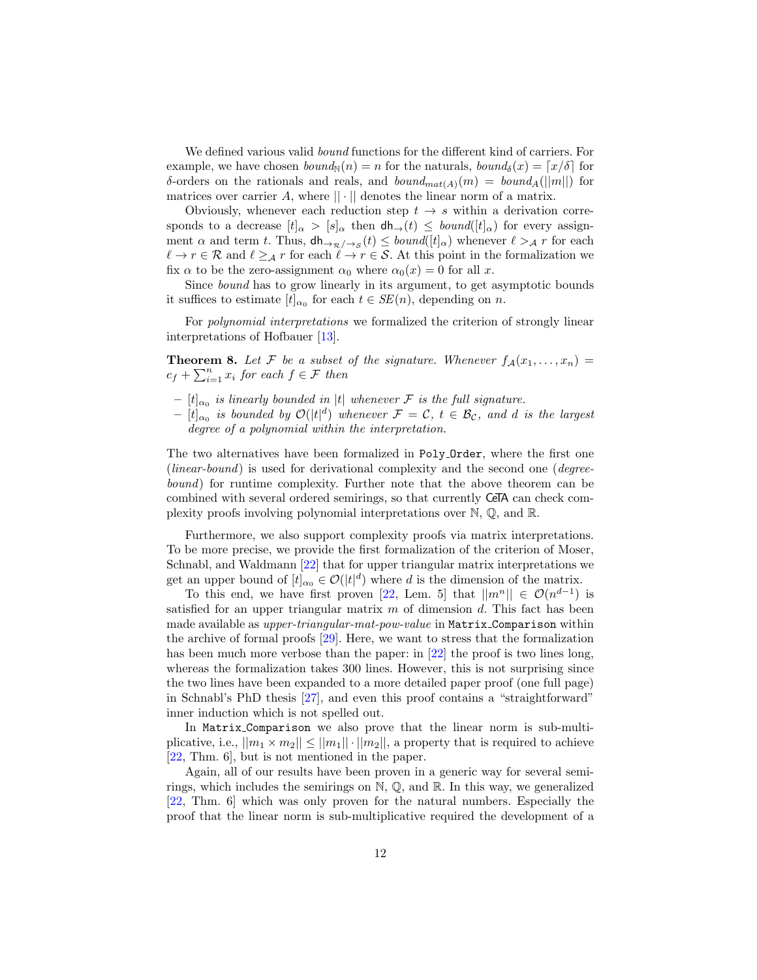We defined various valid *bound* functions for the different kind of carriers. For example, we have chosen  $bound_{\mathbb{N}}(n) = n$  for the naturals,  $bound_{\delta}(x) = \lceil x/\delta \rceil$  for δ-orders on the rationals and reals, and  $bound_{mat(A)}(m) = bound_A(||m||)$  for matrices over carrier A, where  $|| \cdot ||$  denotes the linear norm of a matrix.

Obviously, whenever each reduction step  $t \to s$  within a derivation corresponds to a decrease  $[t]_{\alpha} > [s]_{\alpha}$  then  $dh_{\rightarrow}(t) \le$  bound( $[t]_{\alpha}$ ) for every assignment  $\alpha$  and term t. Thus,  $dh_{\rightarrow R/\rightarrow S}(t) \leq bound([t]_{\alpha})$  whenever  $\ell >_{\mathcal{A}} r$  for each  $\ell \to r \in \mathcal{R}$  and  $\ell \geq_{\mathcal{A}} r$  for each  $\ell \to r \in \mathcal{S}$ . At this point in the formalization we fix  $\alpha$  to be the zero-assignment  $\alpha_0$  where  $\alpha_0(x) = 0$  for all x.

Since bound has to grow linearly in its argument, to get asymptotic bounds it suffices to estimate  $[t]_{\alpha_0}$  for each  $t \in SE(n)$ , depending on n.

For polynomial interpretations we formalized the criterion of strongly linear interpretations of Hofbauer [\[13\]](#page-13-16).

**Theorem 8.** Let F be a subset of the signature. Whenever  $f_A(x_1, \ldots, x_n) =$  $c_f + \sum_{i=1}^n x_i$  for each  $f \in \mathcal{F}$  then

- $[t]_{\alpha_0}$  is linearly bounded in |t| whenever  $\mathcal F$  is the full signature.
- $[- [t]_{\alpha_0}]$  is bounded by  $\mathcal{O}(|t|^d)$  whenever  $\mathcal{F} = \mathcal{C}, t \in \mathcal{B}_{\mathcal{C}}$ , and d is the largest degree of a polynomial within the interpretation.

The two alternatives have been formalized in Poly Order, where the first one (*linear-bound*) is used for derivational complexity and the second one (*degree*bound) for runtime complexity. Further note that the above theorem can be combined with several ordered semirings, so that currently CeTA can check complexity proofs involving polynomial interpretations over N, Q, and R.

Furthermore, we also support complexity proofs via matrix interpretations. To be more precise, we provide the first formalization of the criterion of Moser, Schnabl, and Waldmann [\[22\]](#page-14-15) that for upper triangular matrix interpretations we get an upper bound of  $[t]_{\alpha_0} \in \mathcal{O}(|t|^d)$  where d is the dimension of the matrix.

To this end, we have first proven [\[22,](#page-14-15) Lem. 5] that  $||m^n|| \in \mathcal{O}(n^{d-1})$  is satisfied for an upper triangular matrix  $m$  of dimension  $d$ . This fact has been made available as *upper-triangular-mat-pow-value* in Matrix Comparison within the archive of formal proofs [\[29\]](#page-14-2). Here, we want to stress that the formalization has been much more verbose than the paper: in [\[22\]](#page-14-15) the proof is two lines long, whereas the formalization takes 300 lines. However, this is not surprising since the two lines have been expanded to a more detailed paper proof (one full page) in Schnabl's PhD thesis [\[27\]](#page-14-16), and even this proof contains a "straightforward" inner induction which is not spelled out.

In Matrix Comparison we also prove that the linear norm is sub-multiplicative, i.e.,  $||m_1 \times m_2|| \le ||m_1|| \cdot ||m_2||$ , a property that is required to achieve [\[22,](#page-14-15) Thm. 6], but is not mentioned in the paper.

Again, all of our results have been proven in a generic way for several semirings, which includes the semirings on  $\mathbb{N}, \mathbb{Q}$ , and  $\mathbb{R}$ . In this way, we generalized [\[22,](#page-14-15) Thm. 6] which was only proven for the natural numbers. Especially the proof that the linear norm is sub-multiplicative required the development of a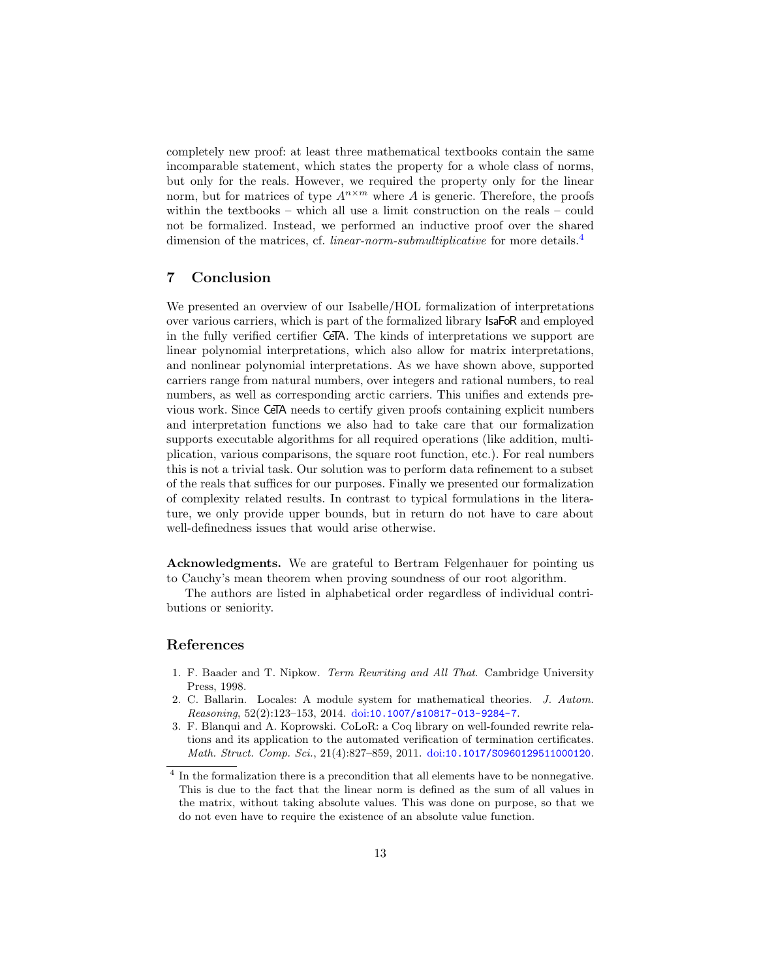completely new proof: at least three mathematical textbooks contain the same incomparable statement, which states the property for a whole class of norms, but only for the reals. However, we required the property only for the linear norm, but for matrices of type  $A^{n \times m}$  where A is generic. Therefore, the proofs within the textbooks – which all use a limit construction on the reals – could not be formalized. Instead, we performed an inductive proof over the shared dimension of the matrices, cf. *linear-norm-submultiplicative* for more details.<sup>[4](#page-12-4)</sup>

# <span id="page-12-0"></span>7 Conclusion

We presented an overview of our Isabelle/HOL formalization of interpretations over various carriers, which is part of the formalized library IsaFoR and employed in the fully verified certifier CeTA. The kinds of interpretations we support are linear polynomial interpretations, which also allow for matrix interpretations, and nonlinear polynomial interpretations. As we have shown above, supported carriers range from natural numbers, over integers and rational numbers, to real numbers, as well as corresponding arctic carriers. This unifies and extends previous work. Since CeTA needs to certify given proofs containing explicit numbers and interpretation functions we also had to take care that our formalization supports executable algorithms for all required operations (like addition, multiplication, various comparisons, the square root function, etc.). For real numbers this is not a trivial task. Our solution was to perform data refinement to a subset of the reals that suffices for our purposes. Finally we presented our formalization of complexity related results. In contrast to typical formulations in the literature, we only provide upper bounds, but in return do not have to care about well-definedness issues that would arise otherwise.

Acknowledgments. We are grateful to Bertram Felgenhauer for pointing us to Cauchy's mean theorem when proving soundness of our root algorithm.

The authors are listed in alphabetical order regardless of individual contributions or seniority.

## References

- <span id="page-12-1"></span>1. F. Baader and T. Nipkow. Term Rewriting and All That. Cambridge University Press, 1998.
- <span id="page-12-3"></span>2. C. Ballarin. Locales: A module system for mathematical theories. J. Autom. Reasoning, 52(2):123–153, 2014. doi:[10.1007/s10817-013-9284-7](http://dx.doi.org/10.1007/s10817-013-9284-7).
- <span id="page-12-2"></span>3. F. Blanqui and A. Koprowski. CoLoR: a Coq library on well-founded rewrite relations and its application to the automated verification of termination certificates. Math. Struct. Comp. Sci., 21(4):827–859, 2011. doi:[10.1017/S0960129511000120](http://dx.doi.org/10.1017/S0960129511000120).

<span id="page-12-4"></span><sup>&</sup>lt;sup>4</sup> In the formalization there is a precondition that all elements have to be nonnegative. This is due to the fact that the linear norm is defined as the sum of all values in the matrix, without taking absolute values. This was done on purpose, so that we do not even have to require the existence of an absolute value function.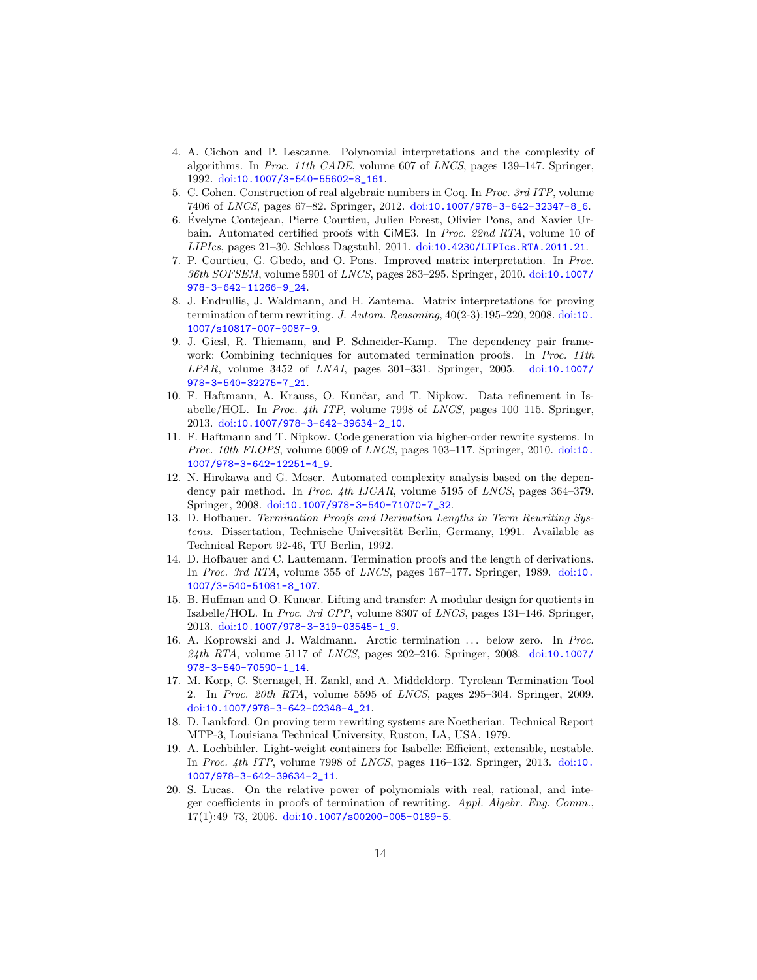- <span id="page-13-13"></span>4. A. Cichon and P. Lescanne. Polynomial interpretations and the complexity of algorithms. In Proc. 11th CADE, volume 607 of LNCS, pages 139–147. Springer, 1992. doi:[10.1007/3-540-55602-8\\_161](http://dx.doi.org/10.1007/3-540-55602-8_161).
- <span id="page-13-8"></span>5. C. Cohen. Construction of real algebraic numbers in Coq. In Proc. 3rd ITP, volume 7406 of LNCS, pages 67–82. Springer, 2012. doi:[10.1007/978-3-642-32347-8\\_6](http://dx.doi.org/10.1007/978-3-642-32347-8_6).
- <span id="page-13-3"></span>6. Evelyne Contejean, Pierre Courtieu, Julien Forest, Olivier Pons, and Xavier Ur- ´ bain. Automated certified proofs with CiME3. In Proc. 22nd RTA, volume 10 of LIPIcs, pages 21–30. Schloss Dagstuhl, 2011. doi:[10.4230/LIPIcs.RTA.2011.21](http://dx.doi.org/10.4230/LIPIcs.RTA.2011.21).
- <span id="page-13-4"></span>7. P. Courtieu, G. Gbedo, and O. Pons. Improved matrix interpretation. In Proc. 36th SOFSEM, volume 5901 of LNCS, pages 283–295. Springer, 2010. doi:[10.1007/](http://dx.doi.org/10.1007/978-3-642-11266-9_24) [978-3-642-11266-9\\_24](http://dx.doi.org/10.1007/978-3-642-11266-9_24).
- <span id="page-13-2"></span>8. J. Endrullis, J. Waldmann, and H. Zantema. Matrix interpretations for proving termination of term rewriting. J. Autom. Reasoning, 40(2-3):195–220, 2008. [doi:](http://dx.doi.org/10.1007/s10817-007-9087-9)10. [1007/s10817-007-9087-9](http://dx.doi.org/10.1007/s10817-007-9087-9).
- <span id="page-13-7"></span>9. J. Giesl, R. Thiemann, and P. Schneider-Kamp. The dependency pair framework: Combining techniques for automated termination proofs. In Proc. 11th LPAR, volume 3452 of LNAI, pages 301–331. Springer, 2005. doi:[10.1007/](http://dx.doi.org/10.1007/978-3-540-32275-7_21) [978-3-540-32275-7\\_21](http://dx.doi.org/10.1007/978-3-540-32275-7_21).
- <span id="page-13-9"></span>10. F. Haftmann, A. Krauss, O. Kunˇcar, and T. Nipkow. Data refinement in Isabelle/HOL. In Proc. 4th ITP, volume 7998 of LNCS, pages 100–115. Springer, 2013. doi:[10.1007/978-3-642-39634-2\\_10](http://dx.doi.org/10.1007/978-3-642-39634-2_10).
- <span id="page-13-0"></span>11. F. Haftmann and T. Nipkow. Code generation via higher-order rewrite systems. In Proc. 10th FLOPS, volume 6009 of LNCS, pages 103-117. Springer, 2010. [doi:](http://dx.doi.org/10.1007/978-3-642-12251-4_9)10. [1007/978-3-642-12251-4\\_9](http://dx.doi.org/10.1007/978-3-642-12251-4_9).
- <span id="page-13-14"></span>12. N. Hirokawa and G. Moser. Automated complexity analysis based on the dependency pair method. In Proc. 4th IJCAR, volume 5195 of LNCS, pages 364–379. Springer, 2008. doi:[10.1007/978-3-540-71070-7\\_32](http://dx.doi.org/10.1007/978-3-540-71070-7_32).
- <span id="page-13-16"></span>13. D. Hofbauer. Termination Proofs and Derivation Lengths in Term Rewriting Systems. Dissertation, Technische Universität Berlin, Germany, 1991. Available as Technical Report 92-46, TU Berlin, 1992.
- <span id="page-13-15"></span>14. D. Hofbauer and C. Lautemann. Termination proofs and the length of derivations. In Proc. 3rd RTA, volume 355 of LNCS, pages 167–177. Springer, 1989. [doi:](http://dx.doi.org/10.1007/3-540-51081-8_107)10. [1007/3-540-51081-8\\_107](http://dx.doi.org/10.1007/3-540-51081-8_107).
- <span id="page-13-10"></span>15. B. Huffman and O. Kuncar. Lifting and transfer: A modular design for quotients in Isabelle/HOL. In Proc. 3rd CPP, volume 8307 of LNCS, pages 131–146. Springer, 2013. doi:[10.1007/978-3-319-03545-1\\_9](http://dx.doi.org/10.1007/978-3-319-03545-1_9).
- <span id="page-13-6"></span>16. A. Koprowski and J. Waldmann. Arctic termination . . . below zero. In Proc. 24th RTA, volume 5117 of LNCS, pages 202–216. Springer, 2008. doi:[10.1007/](http://dx.doi.org/10.1007/978-3-540-70590-1_14) [978-3-540-70590-1\\_14](http://dx.doi.org/10.1007/978-3-540-70590-1_14).
- <span id="page-13-12"></span>17. M. Korp, C. Sternagel, H. Zankl, and A. Middeldorp. Tyrolean Termination Tool 2. In Proc. 20th RTA, volume 5595 of LNCS, pages 295–304. Springer, 2009. doi:[10.1007/978-3-642-02348-4\\_21](http://dx.doi.org/10.1007/978-3-642-02348-4_21).
- <span id="page-13-1"></span>18. D. Lankford. On proving term rewriting systems are Noetherian. Technical Report MTP-3, Louisiana Technical University, Ruston, LA, USA, 1979.
- <span id="page-13-11"></span>19. A. Lochbihler. Light-weight containers for Isabelle: Efficient, extensible, nestable. In Proc. 4th ITP, volume 7998 of LNCS, pages 116–132. Springer, 2013. [doi:](http://dx.doi.org/10.1007/978-3-642-39634-2_11)10. [1007/978-3-642-39634-2\\_11](http://dx.doi.org/10.1007/978-3-642-39634-2_11).
- <span id="page-13-5"></span>20. S. Lucas. On the relative power of polynomials with real, rational, and integer coefficients in proofs of termination of rewriting. Appl. Algebr. Eng. Comm., 17(1):49–73, 2006. doi:[10.1007/s00200-005-0189-5](http://dx.doi.org/10.1007/s00200-005-0189-5).